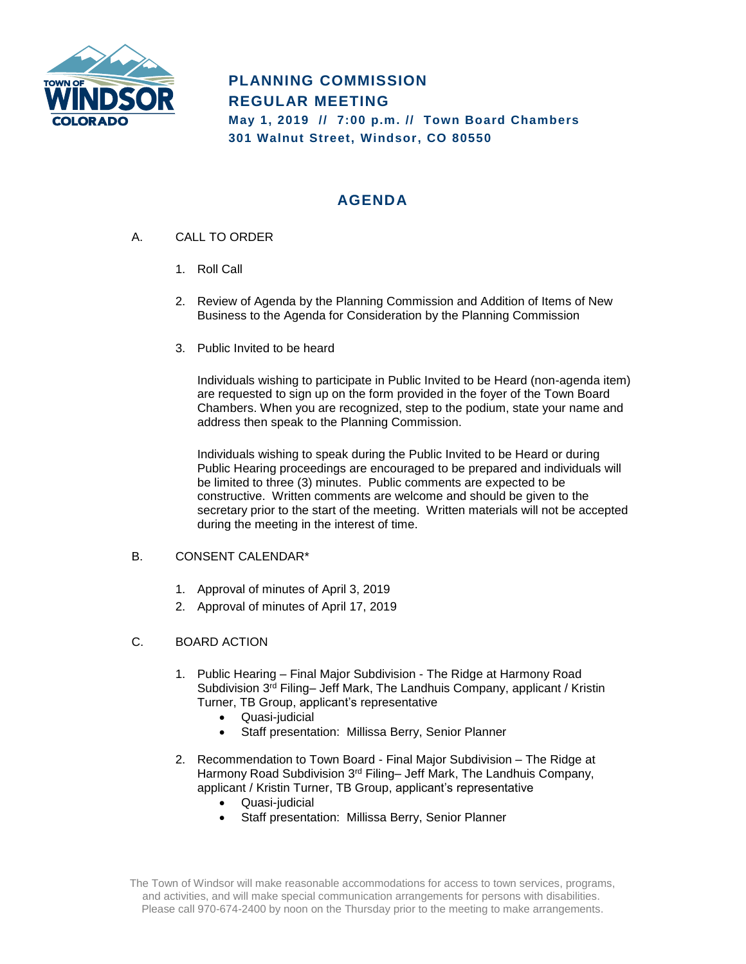

# **PLANNING COMMISSION REGULAR MEETING May 1, 2019 // 7:00 p.m. // Town Board Chambers 301 Walnut Street, Windsor, CO 80550**

# **AGENDA**

- A. CALL TO ORDER
	- 1. Roll Call
	- 2. Review of Agenda by the Planning Commission and Addition of Items of New Business to the Agenda for Consideration by the Planning Commission
	- 3. Public Invited to be heard

Individuals wishing to participate in Public Invited to be Heard (non-agenda item) are requested to sign up on the form provided in the foyer of the Town Board Chambers. When you are recognized, step to the podium, state your name and address then speak to the Planning Commission.

Individuals wishing to speak during the Public Invited to be Heard or during Public Hearing proceedings are encouraged to be prepared and individuals will be limited to three (3) minutes. Public comments are expected to be constructive. Written comments are welcome and should be given to the secretary prior to the start of the meeting. Written materials will not be accepted during the meeting in the interest of time.

### B. CONSENT CALENDAR\*

- 1. Approval of minutes of April 3, 2019
- 2. Approval of minutes of April 17, 2019

### C. BOARD ACTION

- 1. Public Hearing Final Major Subdivision The Ridge at Harmony Road Subdivision 3<sup>rd</sup> Filing– Jeff Mark, The Landhuis Company, applicant / Kristin Turner, TB Group, applicant's representative
	- Quasi-judicial
	- Staff presentation: Millissa Berry, Senior Planner
- 2. Recommendation to Town Board Final Major Subdivision The Ridge at Harmony Road Subdivision 3<sup>rd</sup> Filing– Jeff Mark, The Landhuis Company, applicant / Kristin Turner, TB Group, applicant's representative
	- Quasi-judicial
	- Staff presentation: Millissa Berry, Senior Planner

The Town of Windsor will make reasonable accommodations for access to town services, programs, and activities, and will make special communication arrangements for persons with disabilities. Please call 970-674-2400 by noon on the Thursday prior to the meeting to make arrangements.